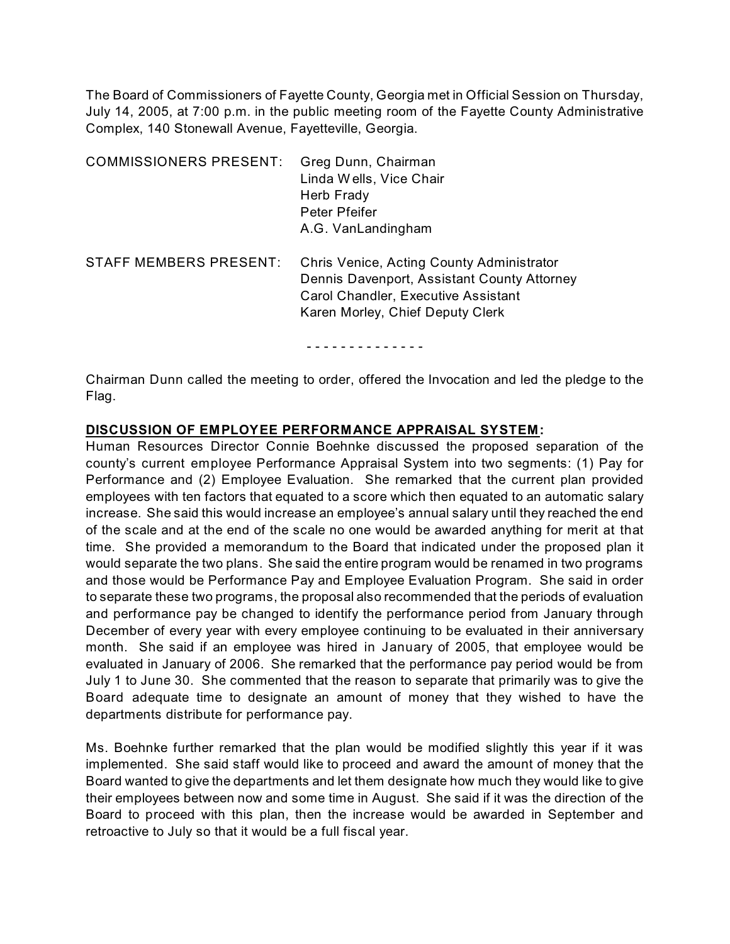The Board of Commissioners of Fayette County, Georgia met in Official Session on Thursday, July 14, 2005, at 7:00 p.m. in the public meeting room of the Fayette County Administrative Complex, 140 Stonewall Avenue, Fayetteville, Georgia.

| <b>COMMISSIONERS PRESENT:</b> | Greg Dunn, Chairman<br>Linda Wells, Vice Chair<br>Herb Frady<br>Peter Pfeifer<br>A.G. VanLandingham                                                                 |
|-------------------------------|---------------------------------------------------------------------------------------------------------------------------------------------------------------------|
| STAFF MEMBERS PRESENT:        | Chris Venice, Acting County Administrator<br>Dennis Davenport, Assistant County Attorney<br>Carol Chandler, Executive Assistant<br>Karen Morley, Chief Deputy Clerk |

- - - - - - - - - - - - - -

Chairman Dunn called the meeting to order, offered the Invocation and led the pledge to the Flag.

#### **DISCUSSION OF EMPLOYEE PERFORMANCE APPRAISAL SYSTEM:**

Human Resources Director Connie Boehnke discussed the proposed separation of the county's current employee Performance Appraisal System into two segments: (1) Pay for Performance and (2) Employee Evaluation. She remarked that the current plan provided employees with ten factors that equated to a score which then equated to an automatic salary increase. She said this would increase an employee's annual salary until they reached the end of the scale and at the end of the scale no one would be awarded anything for merit at that time. She provided a memorandum to the Board that indicated under the proposed plan it would separate the two plans. She said the entire program would be renamed in two programs and those would be Performance Pay and Employee Evaluation Program. She said in order to separate these two programs, the proposal also recommended that the periods of evaluation and performance pay be changed to identify the performance period from January through December of every year with every employee continuing to be evaluated in their anniversary month. She said if an employee was hired in January of 2005, that employee would be evaluated in January of 2006. She remarked that the performance pay period would be from July 1 to June 30. She commented that the reason to separate that primarily was to give the Board adequate time to designate an amount of money that they wished to have the departments distribute for performance pay.

Ms. Boehnke further remarked that the plan would be modified slightly this year if it was implemented. She said staff would like to proceed and award the amount of money that the Board wanted to give the departments and let them designate how much they would like to give their employees between now and some time in August. She said if it was the direction of the Board to proceed with this plan, then the increase would be awarded in September and retroactive to July so that it would be a full fiscal year.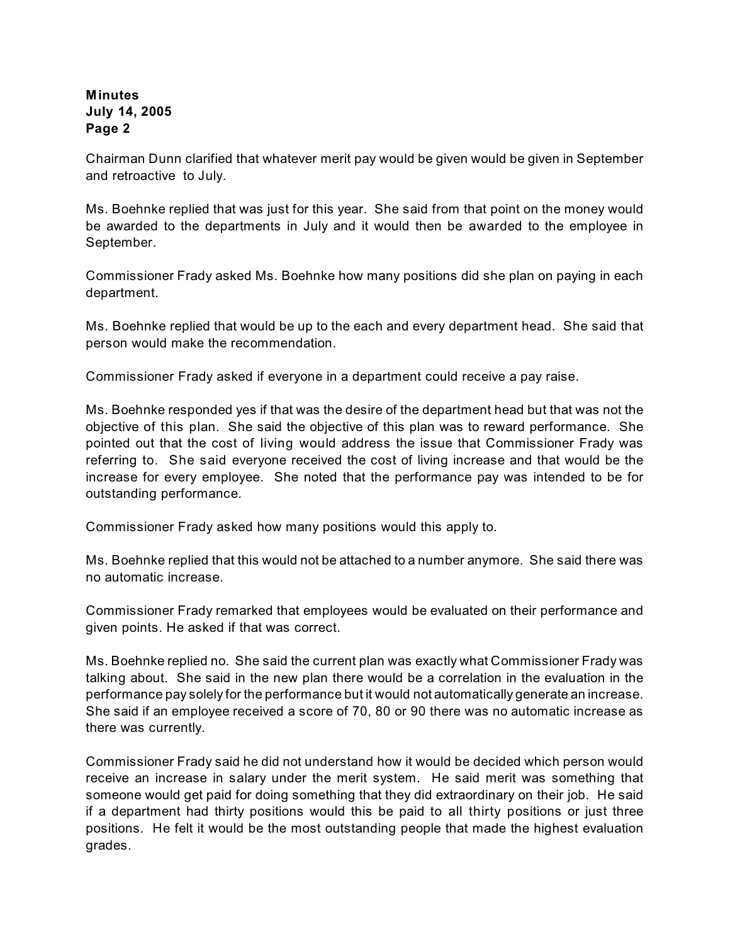Chairman Dunn clarified that whatever merit pay would be given would be given in September and retroactive to July.

Ms. Boehnke replied that was just for this year. She said from that point on the money would be awarded to the departments in July and it would then be awarded to the employee in September.

Commissioner Frady asked Ms. Boehnke how many positions did she plan on paying in each department.

Ms. Boehnke replied that would be up to the each and every department head. She said that person would make the recommendation.

Commissioner Frady asked if everyone in a department could receive a pay raise.

Ms. Boehnke responded yes if that was the desire of the department head but that was not the objective of this plan. She said the objective of this plan was to reward performance. She pointed out that the cost of living would address the issue that Commissioner Frady was referring to. She said everyone received the cost of living increase and that would be the increase for every employee. She noted that the performance pay was intended to be for outstanding performance.

Commissioner Frady asked how many positions would this apply to.

Ms. Boehnke replied that this would not be attached to a number anymore. She said there was no automatic increase.

Commissioner Frady remarked that employees would be evaluated on their performance and given points. He asked if that was correct.

Ms. Boehnke replied no. She said the current plan was exactly what Commissioner Frady was talking about. She said in the new plan there would be a correlation in the evaluation in the performance pay solely for the performance but it would not automatically generate an increase. She said if an employee received a score of 70, 80 or 90 there was no automatic increase as there was currently.

Commissioner Frady said he did not understand how it would be decided which person would receive an increase in salary under the merit system. He said merit was something that someone would get paid for doing something that they did extraordinary on their job. He said if a department had thirty positions would this be paid to all thirty positions or just three positions. He felt it would be the most outstanding people that made the highest evaluation grades.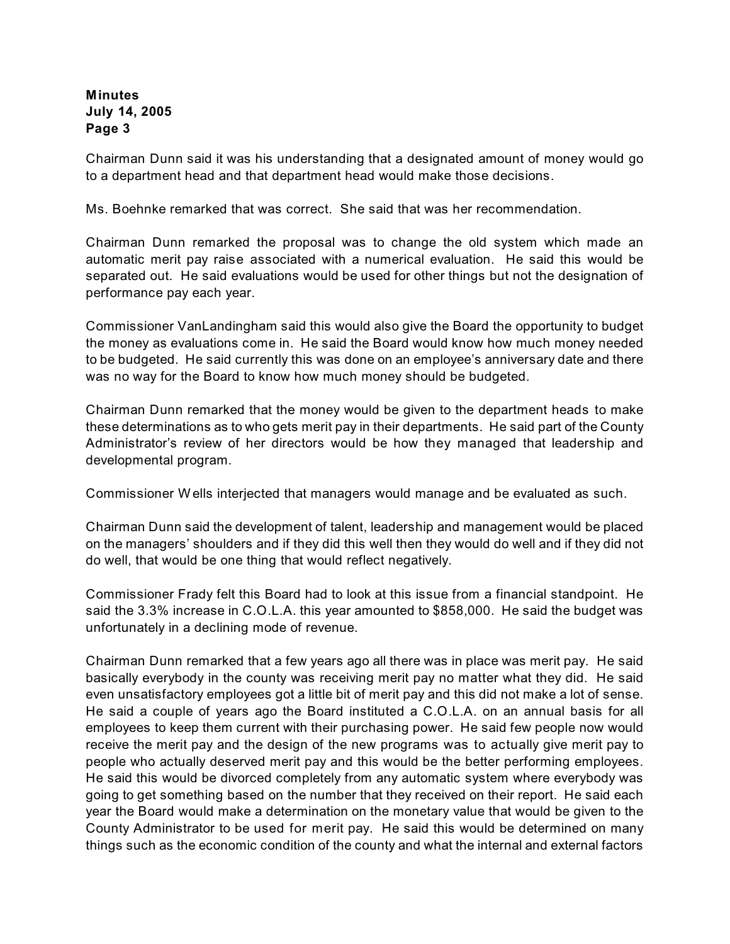Chairman Dunn said it was his understanding that a designated amount of money would go to a department head and that department head would make those decisions.

Ms. Boehnke remarked that was correct. She said that was her recommendation.

Chairman Dunn remarked the proposal was to change the old system which made an automatic merit pay raise associated with a numerical evaluation. He said this would be separated out. He said evaluations would be used for other things but not the designation of performance pay each year.

Commissioner VanLandingham said this would also give the Board the opportunity to budget the money as evaluations come in. He said the Board would know how much money needed to be budgeted. He said currently this was done on an employee's anniversary date and there was no way for the Board to know how much money should be budgeted.

Chairman Dunn remarked that the money would be given to the department heads to make these determinations as to who gets merit pay in their departments. He said part of the County Administrator's review of her directors would be how they managed that leadership and developmental program.

Commissioner W ells interjected that managers would manage and be evaluated as such.

Chairman Dunn said the development of talent, leadership and management would be placed on the managers' shoulders and if they did this well then they would do well and if they did not do well, that would be one thing that would reflect negatively.

Commissioner Frady felt this Board had to look at this issue from a financial standpoint. He said the 3.3% increase in C.O.L.A. this year amounted to \$858,000. He said the budget was unfortunately in a declining mode of revenue.

Chairman Dunn remarked that a few years ago all there was in place was merit pay. He said basically everybody in the county was receiving merit pay no matter what they did. He said even unsatisfactory employees got a little bit of merit pay and this did not make a lot of sense. He said a couple of years ago the Board instituted a C.O.L.A. on an annual basis for all employees to keep them current with their purchasing power. He said few people now would receive the merit pay and the design of the new programs was to actually give merit pay to people who actually deserved merit pay and this would be the better performing employees. He said this would be divorced completely from any automatic system where everybody was going to get something based on the number that they received on their report. He said each year the Board would make a determination on the monetary value that would be given to the County Administrator to be used for merit pay. He said this would be determined on many things such as the economic condition of the county and what the internal and external factors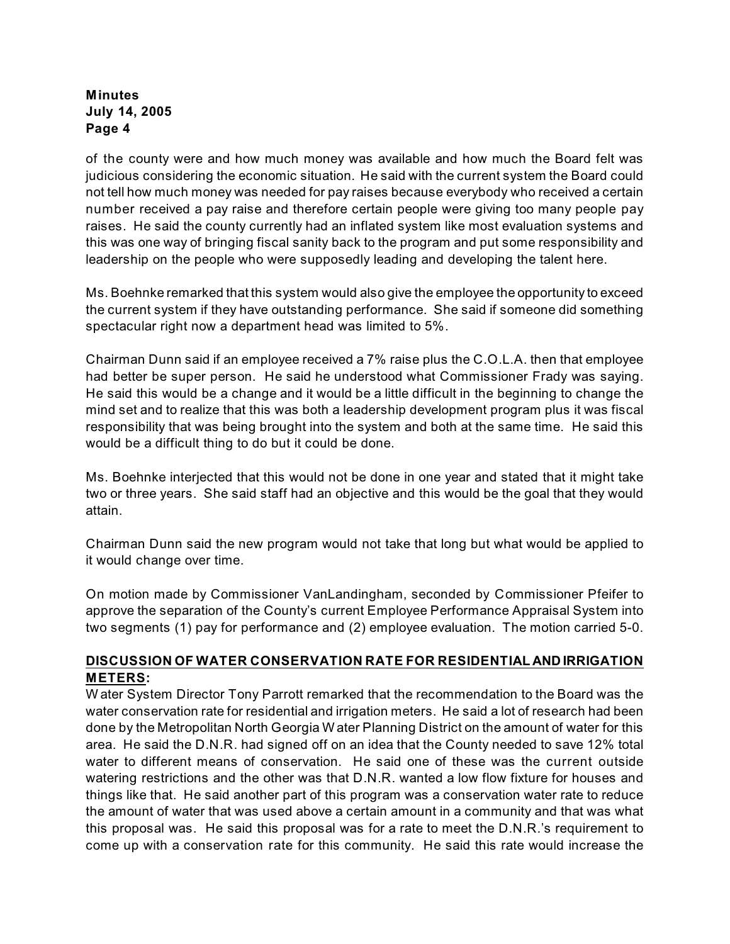of the county were and how much money was available and how much the Board felt was judicious considering the economic situation. He said with the current system the Board could not tell how much money was needed for pay raises because everybody who received a certain number received a pay raise and therefore certain people were giving too many people pay raises. He said the county currently had an inflated system like most evaluation systems and this was one way of bringing fiscal sanity back to the program and put some responsibility and leadership on the people who were supposedly leading and developing the talent here.

Ms. Boehnke remarked that this system would also give the employee the opportunity to exceed the current system if they have outstanding performance. She said if someone did something spectacular right now a department head was limited to 5%.

Chairman Dunn said if an employee received a 7% raise plus the C.O.L.A. then that employee had better be super person. He said he understood what Commissioner Frady was saying. He said this would be a change and it would be a little difficult in the beginning to change the mind set and to realize that this was both a leadership development program plus it was fiscal responsibility that was being brought into the system and both at the same time. He said this would be a difficult thing to do but it could be done.

Ms. Boehnke interjected that this would not be done in one year and stated that it might take two or three years. She said staff had an objective and this would be the goal that they would attain.

Chairman Dunn said the new program would not take that long but what would be applied to it would change over time.

On motion made by Commissioner VanLandingham, seconded by Commissioner Pfeifer to approve the separation of the County's current Employee Performance Appraisal System into two segments (1) pay for performance and (2) employee evaluation. The motion carried 5-0.

## **DISCUSSION OF WATER CONSERVATION RATE FOR RESIDENTIAL AND IRRIGATION METERS:**

W ater System Director Tony Parrott remarked that the recommendation to the Board was the water conservation rate for residential and irrigation meters. He said a lot of research had been done by the Metropolitan North Georgia W ater Planning District on the amount of water for this area. He said the D.N.R. had signed off on an idea that the County needed to save 12% total water to different means of conservation. He said one of these was the current outside watering restrictions and the other was that D.N.R. wanted a low flow fixture for houses and things like that. He said another part of this program was a conservation water rate to reduce the amount of water that was used above a certain amount in a community and that was what this proposal was. He said this proposal was for a rate to meet the D.N.R.'s requirement to come up with a conservation rate for this community. He said this rate would increase the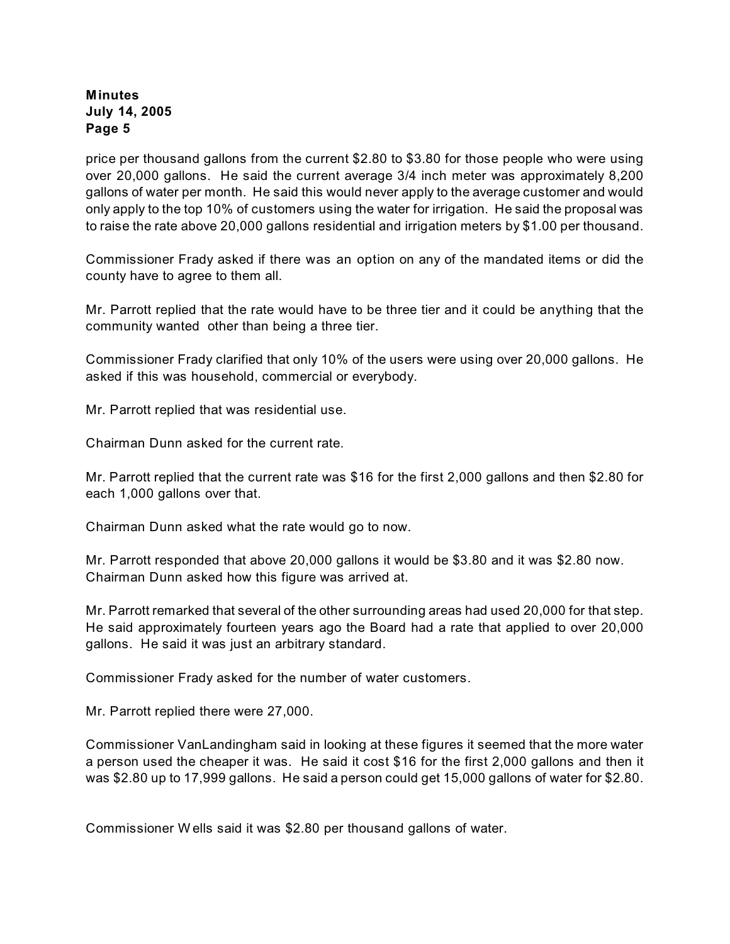price per thousand gallons from the current \$2.80 to \$3.80 for those people who were using over 20,000 gallons. He said the current average 3/4 inch meter was approximately 8,200 gallons of water per month. He said this would never apply to the average customer and would only apply to the top 10% of customers using the water for irrigation. He said the proposal was to raise the rate above 20,000 gallons residential and irrigation meters by \$1.00 per thousand.

Commissioner Frady asked if there was an option on any of the mandated items or did the county have to agree to them all.

Mr. Parrott replied that the rate would have to be three tier and it could be anything that the community wanted other than being a three tier.

Commissioner Frady clarified that only 10% of the users were using over 20,000 gallons. He asked if this was household, commercial or everybody.

Mr. Parrott replied that was residential use.

Chairman Dunn asked for the current rate.

Mr. Parrott replied that the current rate was \$16 for the first 2,000 gallons and then \$2.80 for each 1,000 gallons over that.

Chairman Dunn asked what the rate would go to now.

Mr. Parrott responded that above 20,000 gallons it would be \$3.80 and it was \$2.80 now. Chairman Dunn asked how this figure was arrived at.

Mr. Parrott remarked that several of the other surrounding areas had used 20,000 for that step. He said approximately fourteen years ago the Board had a rate that applied to over 20,000 gallons. He said it was just an arbitrary standard.

Commissioner Frady asked for the number of water customers.

Mr. Parrott replied there were 27,000.

Commissioner VanLandingham said in looking at these figures it seemed that the more water a person used the cheaper it was. He said it cost \$16 for the first 2,000 gallons and then it was \$2.80 up to 17,999 gallons. He said a person could get 15,000 gallons of water for \$2.80.

Commissioner W ells said it was \$2.80 per thousand gallons of water.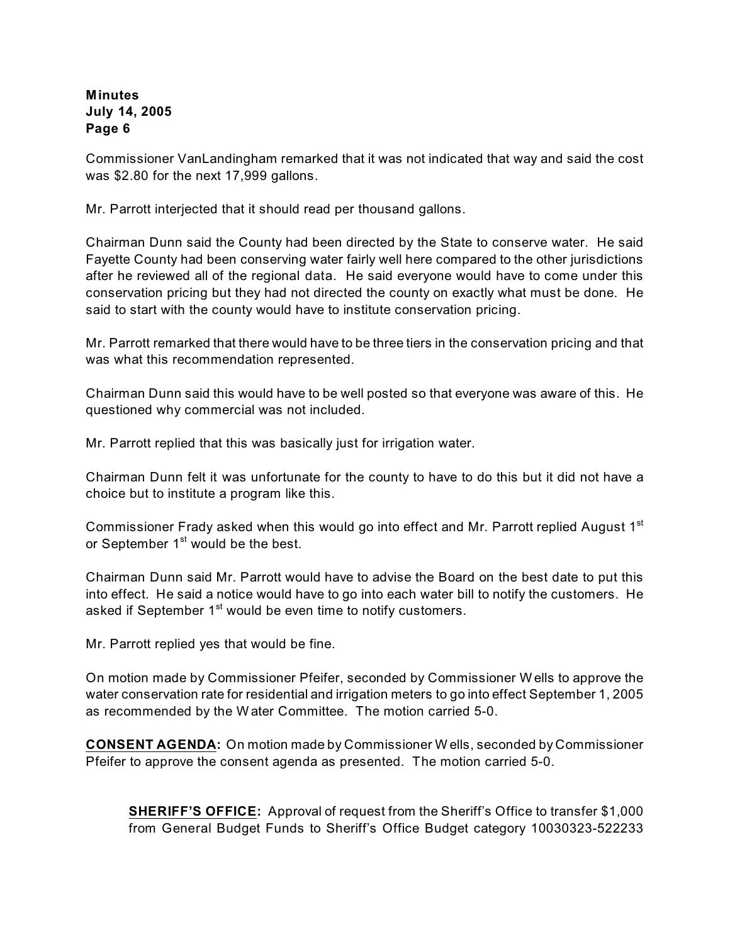Commissioner VanLandingham remarked that it was not indicated that way and said the cost was \$2.80 for the next 17,999 gallons.

Mr. Parrott interjected that it should read per thousand gallons.

Chairman Dunn said the County had been directed by the State to conserve water. He said Fayette County had been conserving water fairly well here compared to the other jurisdictions after he reviewed all of the regional data. He said everyone would have to come under this conservation pricing but they had not directed the county on exactly what must be done. He said to start with the county would have to institute conservation pricing.

Mr. Parrott remarked that there would have to be three tiers in the conservation pricing and that was what this recommendation represented.

Chairman Dunn said this would have to be well posted so that everyone was aware of this. He questioned why commercial was not included.

Mr. Parrott replied that this was basically just for irrigation water.

Chairman Dunn felt it was unfortunate for the county to have to do this but it did not have a choice but to institute a program like this.

Commissioner Frady asked when this would go into effect and Mr. Parrott replied August 1<sup>st</sup> or September 1<sup>st</sup> would be the best.

Chairman Dunn said Mr. Parrott would have to advise the Board on the best date to put this into effect. He said a notice would have to go into each water bill to notify the customers. He asked if September 1<sup>st</sup> would be even time to notify customers.

Mr. Parrott replied yes that would be fine.

On motion made by Commissioner Pfeifer, seconded by Commissioner W ells to approve the water conservation rate for residential and irrigation meters to go into effect September 1, 2005 as recommended by the W ater Committee. The motion carried 5-0.

**CONSENT AGENDA:** On motion made by Commissioner W ells, seconded by Commissioner Pfeifer to approve the consent agenda as presented. The motion carried 5-0.

**SHERIFF'S OFFICE:** Approval of request from the Sheriff's Office to transfer \$1,000 from General Budget Funds to Sheriff's Office Budget category 10030323-522233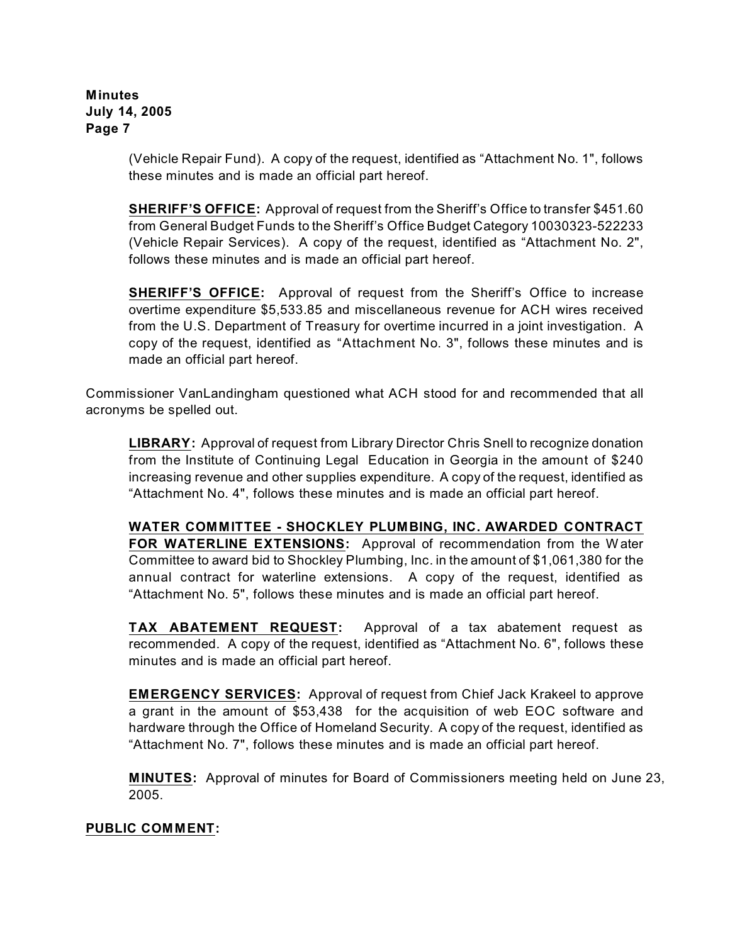> (Vehicle Repair Fund). A copy of the request, identified as "Attachment No. 1", follows these minutes and is made an official part hereof.

> **SHERIFF'S OFFICE:** Approval of request from the Sheriff's Office to transfer \$451.60 from General Budget Funds to the Sheriff's Office Budget Category 10030323-522233 (Vehicle Repair Services). A copy of the request, identified as "Attachment No. 2", follows these minutes and is made an official part hereof.

> **SHERIFF'S OFFICE:** Approval of request from the Sheriff's Office to increase overtime expenditure \$5,533.85 and miscellaneous revenue for ACH wires received from the U.S. Department of Treasury for overtime incurred in a joint investigation. A copy of the request, identified as "Attachment No. 3", follows these minutes and is made an official part hereof.

Commissioner VanLandingham questioned what ACH stood for and recommended that all acronyms be spelled out.

**LIBRARY:** Approval of request from Library Director Chris Snell to recognize donation from the Institute of Continuing Legal Education in Georgia in the amount of \$240 increasing revenue and other supplies expenditure. A copy of the request, identified as "Attachment No. 4", follows these minutes and is made an official part hereof.

**WATER COMMITTEE - SHOCKLEY PLUMBING, INC. AWARDED CONTRACT FOR WATERLINE EXTENSIONS:** Approval of recommendation from the W ater Committee to award bid to Shockley Plumbing, Inc. in the amount of \$1,061,380 for the annual contract for waterline extensions. A copy of the request, identified as "Attachment No. 5", follows these minutes and is made an official part hereof.

**TAX ABATEMENT REQUEST:** Approval of a tax abatement request as recommended. A copy of the request, identified as "Attachment No. 6", follows these minutes and is made an official part hereof.

**EMERGENCY SERVICES:** Approval of request from Chief Jack Krakeel to approve a grant in the amount of \$53,438 for the acquisition of web EOC software and hardware through the Office of Homeland Security. A copy of the request, identified as "Attachment No. 7", follows these minutes and is made an official part hereof.

**MINUTES:** Approval of minutes for Board of Commissioners meeting held on June 23, 2005.

## **PUBLIC COMMENT:**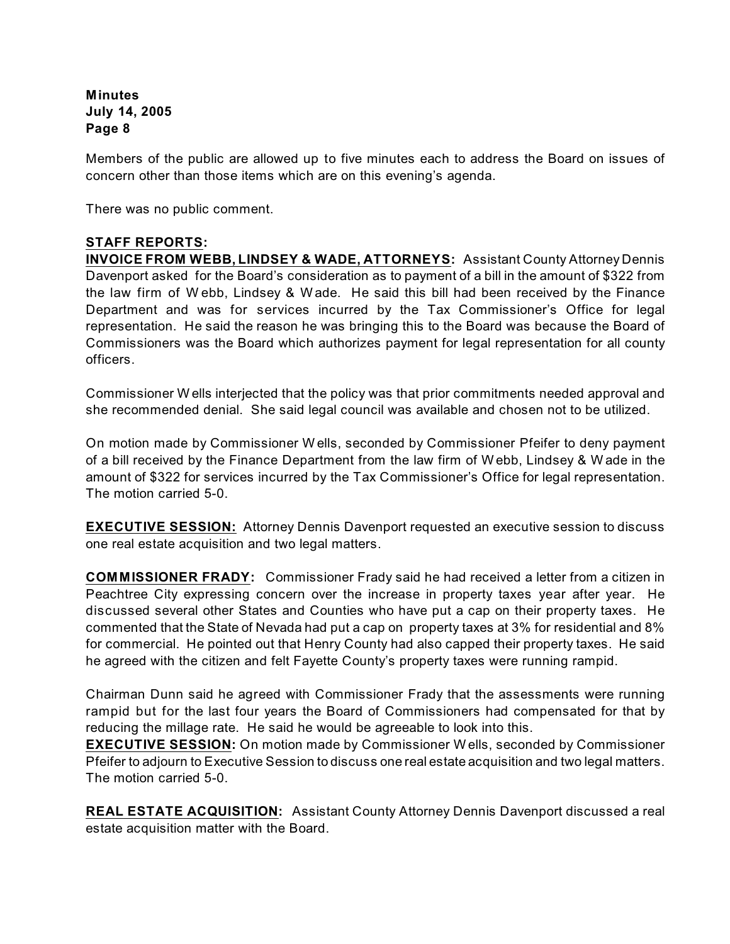Members of the public are allowed up to five minutes each to address the Board on issues of concern other than those items which are on this evening's agenda.

There was no public comment.

# **STAFF REPORTS:**

**INVOICE FROM WEBB, LINDSEY & WADE, ATTORNEYS:** Assistant County Attorney Dennis Davenport asked for the Board's consideration as to payment of a bill in the amount of \$322 from the law firm of W ebb, Lindsey & W ade. He said this bill had been received by the Finance Department and was for services incurred by the Tax Commissioner's Office for legal representation. He said the reason he was bringing this to the Board was because the Board of Commissioners was the Board which authorizes payment for legal representation for all county officers.

Commissioner W ells interjected that the policy was that prior commitments needed approval and she recommended denial. She said legal council was available and chosen not to be utilized.

On motion made by Commissioner W ells, seconded by Commissioner Pfeifer to deny payment of a bill received by the Finance Department from the law firm of W ebb, Lindsey & W ade in the amount of \$322 for services incurred by the Tax Commissioner's Office for legal representation. The motion carried 5-0.

**EXECUTIVE SESSION:** Attorney Dennis Davenport requested an executive session to discuss one real estate acquisition and two legal matters.

**COMMISSIONER FRADY:** Commissioner Frady said he had received a letter from a citizen in Peachtree City expressing concern over the increase in property taxes year after year. He discussed several other States and Counties who have put a cap on their property taxes. He commented that the State of Nevada had put a cap on property taxes at 3% for residential and 8% for commercial. He pointed out that Henry County had also capped their property taxes. He said he agreed with the citizen and felt Fayette County's property taxes were running rampid.

Chairman Dunn said he agreed with Commissioner Frady that the assessments were running rampid but for the last four years the Board of Commissioners had compensated for that by reducing the millage rate. He said he would be agreeable to look into this.

**EXECUTIVE SESSION:** On motion made by Commissioner W ells, seconded by Commissioner Pfeifer to adjourn to Executive Session to discuss one real estate acquisition and two legal matters. The motion carried 5-0.

**REAL ESTATE ACQUISITION:** Assistant County Attorney Dennis Davenport discussed a real estate acquisition matter with the Board.